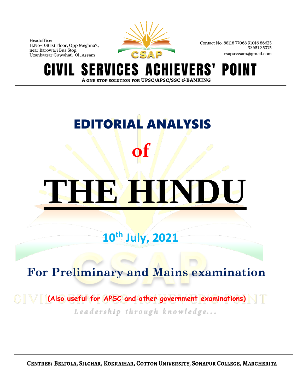

Contact No: 88118 77068 91016 86625 9365135375 csapasssam@gmail.com

**S** IGES A VERS' POINT **GIV** ERVI A ONE STOP SOLUTION FOR UPSC/APSC/SSC & BANKING

# EDITORIAL ANALYSIS **of THE HINDU**

## **10th July, 2021**

## **For Preliminary and Mains examination**

 **(Also useful for APSC and other government examinations)**Leadership through knowledge...

CENTRES: BELTOLA, SILCHAR, KOKRAJHAR, COTTON UNIVERSITY, SONAPUR COLLEGE, MARGHERITA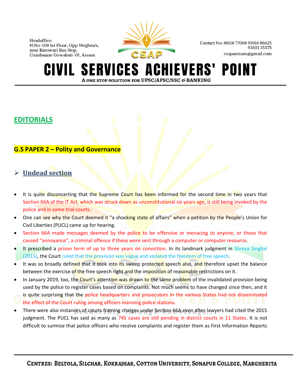

Contact No: 88118 77068 91016 86625 9365135375 csapasssam@gmail.com

#### **CHIEVERS' POINT SERVICES AO** GIVIL A ONE STOP SOLUTION FOR UPSC/APSC/SSC & BANKING

#### **EDITORIALS**

#### **G.S PAPER 2 – Polity and Governance**

#### ➢ **Undead section**

- It is quite disconcerting that the Supreme Court has been informed for the second time in two years that Section 66A of the IT Act, which was struck down as unconstitutional six years ago, is still being invoked by the police and in some trial courts.
- One can see why the Court deemed it "a shocking state of affairs" when a petition by the People's Union for Civil Liberties (PUCL) came up for hearing.
- Section 66A made messages deemed by the police to be offensive or menacing to anyone, or those that caused "annoyance", a criminal offence if these were sent through a computer or computer resource.
- It prescribed a prison term of up to three years on conviction. In its landmark judgment in Shreya Singhal (2015), the Court ruled that the provision was vague and violated the freedom of free speech.
- It was so broadly defined that it took into its sweep protected speech also, and therefore upset the balance between the exercise of the free speech right and the imposition of reasonable restrictions on it.
- In January 2019, too, the Court's attention was drawn to the same problem of the invalidated provision being used by the police to register cases based on complaints. Not much seems to have changed since then, and it is quite surprising that the police headquarters and prosecutors in the various States had not disseminated the effect of the Court ruling among officers manning police stations.
- There were also instances of courts framing charges under Section 66A even after lawyers had cited the 2015 judgment. The PUCL has said as many as 745 cases are still pending in district courts in 11 States. It is not difficult to surmise that police officers who receive complaints and register them as First Information Reports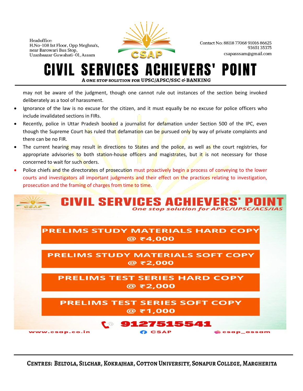

Contact No: 88118 77068 91016 86625 9365135375 csapasssam@gmail.com

### ES 0 A ONE STOP SOLUTION FOR UPSC/APSC/SSC & BANKING

may not be aware of the judgment, though one cannot rule out instances of the section being invoked deliberately as a tool of harassment.

- Ignorance of the law is no excuse for the citizen, and it must equally be no excuse for police officers who include invalidated sections in FIRs.
- Recently, police in Uttar Pradesh booked a journalist for defamation under Section 500 of the IPC, even though the Supreme Court has ruled that defamation can be pursued only by way of private complaints and there can be no FIR.
- The current hearing may result in directions to States and the police, as well as the court registries, for appropriate advisories to both station-house officers and magistrates, but it is not necessary for those concerned to wait for such orders.
- Police chiefs and the directorates of prosecution must proactively begin a process of conveying to the lower courts and investigators all important judgments and their effect on the practices relating to investigation, prosecution and the framing of charges from time to time.

|                | <b>CIVIL SERVICES ACHIEVERS' POINT</b>                 |               |                                                |            |
|----------------|--------------------------------------------------------|---------------|------------------------------------------------|------------|
|                |                                                        |               | <b>One stop solution for APSC/UPSC/ACS/IAS</b> |            |
|                |                                                        |               |                                                |            |
|                | <b>PRELIMS STUDY MATERIALS HARD COPY</b><br>$@$ ₹4,000 |               |                                                |            |
|                |                                                        |               |                                                |            |
|                | <b>PRELIMS STUDY MATERIALS SOFT COPY</b>               |               |                                                |            |
|                | @ ₹2,000                                               |               |                                                |            |
|                | <b>PRELIMS TEST SERIES HARD COPY</b>                   |               |                                                |            |
|                | @ ₹2,000                                               |               |                                                |            |
|                |                                                        |               |                                                |            |
|                | <b>PRELIMS TEST SERIES SOFT COPY</b><br>$@$ ₹1,000     |               |                                                |            |
|                |                                                        |               |                                                |            |
|                | <b>t</b> 9127515541                                    |               |                                                |            |
| www.csap.co.in |                                                        | <b>B</b> CSAP |                                                | csap assam |

CENTRES: BELTOLA, SILCHAR, KOKRAJHAR, COTTON UNIVERSITY, SONAPUR COLLEGE, MARGHERITA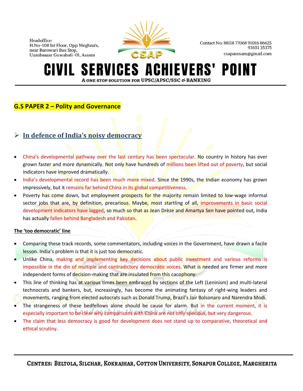

Contact No: 88118 77068 91016 86625 9365135375 csapasssam@gmail.com

#### **SERVICES A IEVERS'** POII A ONE STOP SOLUTION FOR UPSC/APSC/SSC & BANKING

#### **G.S PAPER 2 – Polity and Governance**

#### ➢ **In defence of India's noisy democracy**

- China's developmental pathway over the last century has been spectacular. No country in history has ever grown faster and more dynamically. Not only have hundreds of millions been lifted out of poverty, but social indicators have improved dramatically.
- India's developmental record has been much more mixed. Since the 1990s, the Indian economy has grown impressively, but it remains far behind China in its global competitiveness.
- Poverty has come down, but employment prospects for the majority remain limited to low-wage informal sector jobs that are, by definition, precarious. Maybe, most startling of all, improvements in basic social development indicators have lagged, so much so that as Jean Drèze and Amartya Sen have pointed out, India has actually fallen behind Bangladesh and Pakistan.

#### **The 'too democratic' line**

- Comparing these track records, some commentators, including voices in the Government, have drawn a facile lesson. India's problem is that it is just too democratic.
- Unlike China, making and implementing key decisions about public investment and various reforms is impossible in the din of multiple and contradictory democratic voices. What is needed are firmer and more independent forms of decision-making that are insulated from this cacophony.
- This line of thinking has at various times been embraced by sections of the Left (Leninism) and multi-lateral technocrats and bankers, but, increasingly, has become the animating fantasy of right-wing leaders and movements, ranging from elected autocrats such as Donald Trump, Brazil's Jair Bolsonaro and Narendra Modi.
- The strangeness of these bedfellows alone should be cause for alarm. But in the current moment, it is especially important to be clear why comparisons with China are not only specious, but very dangerous.
- The claim that less democracy is good for development does not stand up to comparative, theoretical and ethical scrutiny.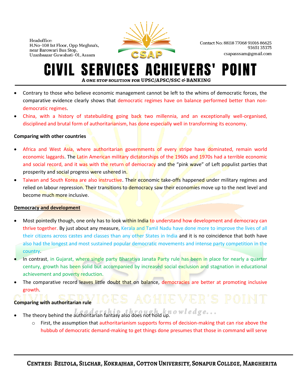

Contact No: 88118 77068 91016 86625 9365135375 csapasssam@gmail.com

#### **ERVICES A CHIEVERS'** POI A ONE STOP SOLUTION FOR UPSC/APSC/SSC & BANKING

- Contrary to those who believe economic management cannot be left to the whims of democratic forces, the comparative evidence clearly shows that democratic regimes have on balance performed better than nondemocratic regimes.
- China, with a history of statebuilding going back two millennia, and an exceptionally well-organised, disciplined and brutal form of authoritarianism, has done especially well in transforming its economy.

#### **Comparing with other countries**

- Africa and West Asia, where authoritarian governments of every stripe have dominated, remain world economic laggards. The Latin American military dictatorships of the 1960s and 1970s had a terrible economic and social record, and it was with the return of democracy and the "pink wave" of Left populist parties that prosperity and social progress were ushered in.
- Taiwan and South Korea are also instructive. Their economic take-offs happened under military regimes and relied on labour repression. Their transitions to democracy saw their economies move up to the next level and become much more inclusive.

#### **Democracy and development**

- Most pointedly though, one only has to look within India to understand how development and democracy can thrive together. By just about any measure, Kerala and Tamil Nadu have done more to improve the lives of all their citizens across castes and classes than any other States in India and it is no coincidence that both have also had the longest and most sustained popular democratic movements and intense party competition in the country.
- In contrast, in Gujarat, where single party Bharatiya Janata Party rule has been in place for nearly a quarter century, growth has been solid but accompanied by increased social exclusion and stagnation in educational achievement and poverty reduction.
- The comparative record leaves little doubt that on balance, democracies are better at promoting inclusive growth.

#### **Comparing with authoritarian rule**

- The theory behind the authoritarian fantasy also does not hold up.
	- o First, the assumption that authoritarianism supports forms of decision-making that can rise above the hubbub of democratic demand-making to get things done presumes that those in command will serve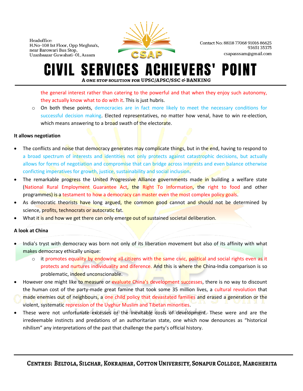

Contact No: 88118 77068 91016 86625 9365135375 csapasssam@gmail.com

#### **SERVICES ACHIEVERS'** POII IVIL I A ONE STOP SOLUTION FOR UPSC/APSC/SSC & BANKING

the general interest rather than catering to the powerful and that when they enjoy such autonomy, they actually know what to do with it. This is just hubris.

o On both these points, democracies are in fact more likely to meet the necessary conditions for successful decision making. Elected representatives, no matter how venal, have to win re-election, which means answering to a broad swath of the electorate.

#### **It allows negotiation**

- The conflicts and noise that democracy generates may complicate things, but in the end, having to respond to a broad spectrum of interests and identities not only protects against catastrophic decisions, but actually allows for forms of negotiation and compromise that can bridge across interests and even balance otherwise conficting imperatives for growth, justice, sustainability and social inclusion.
- The remarkable progress the United Progressive Alliance governments made in building a welfare state (National Rural Employment Guarantee Act, the Right To Information, the right to food and other programmes) is a testament to how a democracy can master even the most complex policy goals.
- As democratic theorists have long argued, the common good cannot and should not be determined by science, profits, technocrats or autocratic fat.
- What it is and how we get there can only emerge out of sustained societal deliberation.

#### **A look at China**

- India's tryst with democracy was born not only of its liberation movement but also of its affinity with what makes democracy ethically unique:
	- $\circ$  it promotes equality by endowing all citizens with the same civic, political and social rights even as it protects and nurtures individuality and diference. And this is where the China-India comparison is so problematic, indeed unconscionable.
- However one might like to measure or evaluate China's development successes, there is no way to discount the human cost of the party-made great famine that took some 35 million lives, a cultural revolution that made enemies out of neighbours, a one child policy that devastated families and erased a generation or the violent, systematic repression of the Uyghur Muslim and Tibetan minorities.
- These were not unfortunate excesses or the inevitable costs of development. These were and are the irredeemable instincts and predations of an authoritarian state, one which now denounces as "historical nihilism" any interpretations of the past that challenge the party's official history.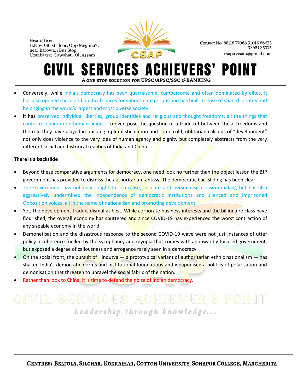

Contact No: 88118 77068 91016 86625 9365135375 csapasssam@gmail.com

#### **SERVICES ACHIEVERS'** POINT GIVIL A ONE STOP SOLUTION FOR UPSC/APSC/SSC & BANKING

- Conversely, while India's democracy has been quarrelsome, cumbersome and often dominated by elites, it has also opened social and political spaces for subordinate groups and has built a sense of shared identity and belonging in the world's largest and most diverse society.
- It has preserved individual liberties, group identities and religious and thought freedoms, all the things that confer recognition on human beings. To even pose the question of a trade off between these freedoms and the role they have played in **building a pluralistic nation and some cold, utilitarian calculus of "development"** not only does violence to the very idea of human agency and dignity but completely abstracts from the very different social and **historical realities of India and China.**

#### **There is a backslide**

- Beyond these comparative arguments for democracy, one need look no further than the object lesson the BJP government has provided to dismiss the authoritarian fantasy. The democratic backsliding has been clear.
- The Government has not only sought to centralise, insulate and personalise decision-making but has also aggressively undermined the independence of democratic institutions and silenced and imprisoned Opposition voices, all in the name of nationalism and promoting development.
- Yet, the development track is dismal at best. While corporate business interests and the billionaire class have flourished, the overall economy has sputtered and since COVID-19 has experienced the worst contraction of any sizeable economy in the world.
- Demonetisation and the disastrous response to the second COVID-19 wave were not just instances of utter policy incoherence fuelled by the sycophancy and myopia that comes with an inwardly focused government, but exposed a degree of callousness and arrogance rarely seen in a democracy.
- On the social front, the pursuit of Hindutva  $-$  a prototypical variant of authoritarian ethnic nationalism  $-$  has shaken India's democratic norms and institutional foundations and weaponised a politics of polarisation and demonisation that threaten to unravel the social fabric of the nation.
- Rather than look to China, it is time to defend the noise of Indian democracy.

## Leadership through knowledge...